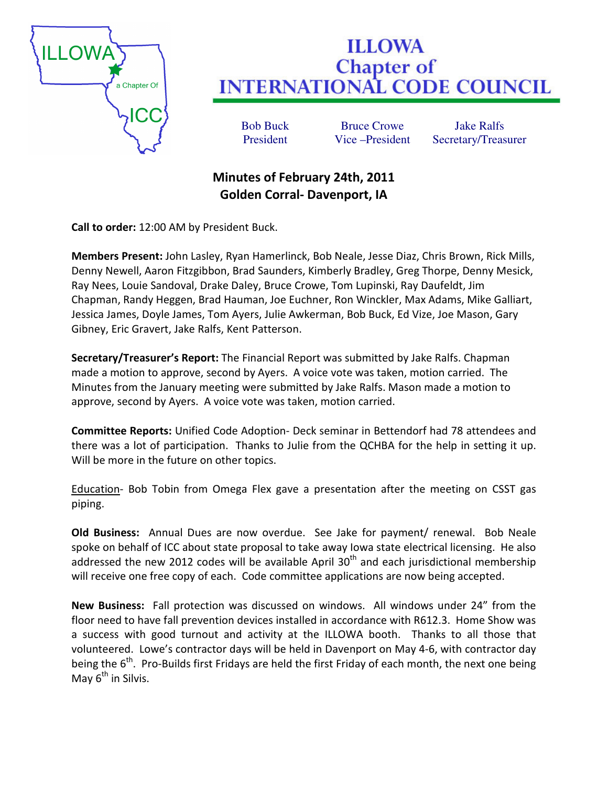

## **ILLOWA Chapter of INTERNATIONAL CODE COUNCIL**

Bob Buck Bruce Crowe Jake Ralfs

President Vice –President Secretary/Treasurer

## Minutes of February 24th, 2011 Golden Corral- Davenport, IA

Call to order: 12:00 AM by President Buck.

Members Present: John Lasley, Ryan Hamerlinck, Bob Neale, Jesse Diaz, Chris Brown, Rick Mills, Denny Newell, Aaron Fitzgibbon, Brad Saunders, Kimberly Bradley, Greg Thorpe, Denny Mesick, Ray Nees, Louie Sandoval, Drake Daley, Bruce Crowe, Tom Lupinski, Ray Daufeldt, Jim Chapman, Randy Heggen, Brad Hauman, Joe Euchner, Ron Winckler, Max Adams, Mike Galliart, Jessica James, Doyle James, Tom Ayers, Julie Awkerman, Bob Buck, Ed Vize, Joe Mason, Gary Gibney, Eric Gravert, Jake Ralfs, Kent Patterson.

Secretary/Treasurer's Report: The Financial Report was submitted by Jake Ralfs. Chapman made a motion to approve, second by Ayers. A voice vote was taken, motion carried. The Minutes from the January meeting were submitted by Jake Ralfs. Mason made a motion to approve, second by Ayers. A voice vote was taken, motion carried.

Committee Reports: Unified Code Adoption- Deck seminar in Bettendorf had 78 attendees and there was a lot of participation. Thanks to Julie from the QCHBA for the help in setting it up. Will be more in the future on other topics.

Education- Bob Tobin from Omega Flex gave a presentation after the meeting on CSST gas piping.

Old Business: Annual Dues are now overdue. See Jake for payment/ renewal. Bob Neale spoke on behalf of ICC about state proposal to take away Iowa state electrical licensing. He also addressed the new 2012 codes will be available April  $30<sup>th</sup>$  and each jurisdictional membership will receive one free copy of each. Code committee applications are now being accepted.

New Business: Fall protection was discussed on windows. All windows under 24" from the floor need to have fall prevention devices installed in accordance with R612.3. Home Show was a success with good turnout and activity at the ILLOWA booth. Thanks to all those that volunteered. Lowe's contractor days will be held in Davenport on May 4-6, with contractor day being the  $6<sup>th</sup>$ . Pro-Builds first Fridays are held the first Friday of each month, the next one being May  $6<sup>th</sup>$  in Silvis.